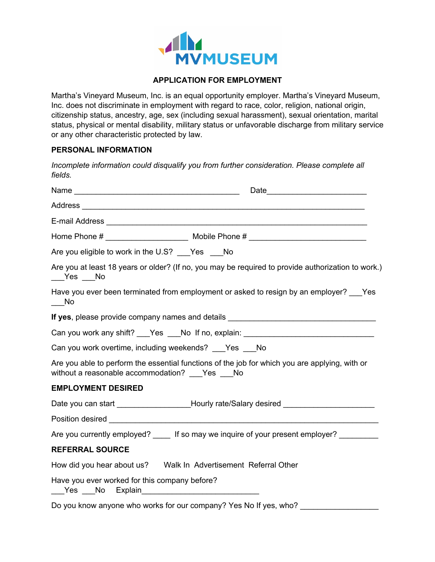

## **APPLICATION FOR EMPLOYMENT**

Martha's Vineyard Museum, Inc. is an equal opportunity employer. Martha's Vineyard Museum, Inc. does not discriminate in employment with regard to race, color, religion, national origin, citizenship status, ancestry, age, sex (including sexual harassment), sexual orientation, marital status, physical or mental disability, military status or unfavorable discharge from military service or any other characteristic protected by law.

## **PERSONAL INFORMATION**

*Incomplete information could disqualify you from further consideration. Please complete all fields.* 

| Are you eligible to work in the U.S? Yes No                                                     |                                                                                                    |
|-------------------------------------------------------------------------------------------------|----------------------------------------------------------------------------------------------------|
| ___Yes ___No                                                                                    | Are you at least 18 years or older? (If no, you may be required to provide authorization to work.) |
| $\overline{\phantom{0}}$ No                                                                     | Have you ever been terminated from employment or asked to resign by an employer? Yes               |
|                                                                                                 | If yes, please provide company names and details ________________________________                  |
|                                                                                                 | Can you work any shift? ___Yes ___No If no, explain: ___________________________                   |
| Can you work overtime, including weekends? Yes No                                               |                                                                                                    |
| without a reasonable accommodation? ___Yes ___No                                                | Are you able to perform the essential functions of the job for which you are applying, with or     |
| <b>EMPLOYMENT DESIRED</b>                                                                       |                                                                                                    |
|                                                                                                 | Date you can start _____________________Hourly rate/Salary desired ____________________            |
|                                                                                                 |                                                                                                    |
|                                                                                                 | Are you currently employed? ____ If so may we inquire of your present employer? _______            |
| <b>REFERRAL SOURCE</b>                                                                          |                                                                                                    |
|                                                                                                 |                                                                                                    |
| Have you ever worked for this company before?<br>___Yes ___No Explain__________________________ |                                                                                                    |
| Do you know anyone who works for our company? Yes No If yes, who?                               |                                                                                                    |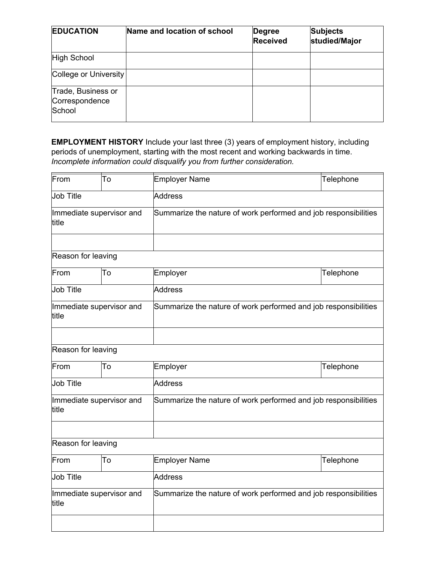| <b>EDUCATION</b>                               | Name and location of school | Degree<br><b>Received</b> | <b>Subjects</b><br>studied/Major |
|------------------------------------------------|-----------------------------|---------------------------|----------------------------------|
| High School                                    |                             |                           |                                  |
| College or University                          |                             |                           |                                  |
| Trade, Business or<br>Correspondence<br>School |                             |                           |                                  |

**EMPLOYMENT HISTORY** Include your last three (3) years of employment history, including periods of unemployment, starting with the most recent and working backwards in time. *Incomplete information could disqualify you from further consideration.*

| From                               | To      | <b>Employer Name</b>                                            | Telephone |  |
|------------------------------------|---------|-----------------------------------------------------------------|-----------|--|
| <b>Job Title</b>                   |         | <b>Address</b>                                                  |           |  |
| Immediate supervisor and<br>title  |         | Summarize the nature of work performed and job responsibilities |           |  |
|                                    |         |                                                                 |           |  |
| Reason for leaving                 |         |                                                                 |           |  |
| From                               | To      | Employer                                                        | Telephone |  |
| <b>Job Title</b>                   |         | <b>Address</b>                                                  |           |  |
| Immediate supervisor and<br>title  |         | Summarize the nature of work performed and job responsibilities |           |  |
|                                    |         |                                                                 |           |  |
| Reason for leaving                 |         |                                                                 |           |  |
| From                               | To      | Employer                                                        | Telephone |  |
| <b>Job Title</b><br><b>Address</b> |         |                                                                 |           |  |
| Immediate supervisor and<br>title  |         | Summarize the nature of work performed and job responsibilities |           |  |
|                                    |         |                                                                 |           |  |
| Reason for leaving                 |         |                                                                 |           |  |
| From                               | To      | Employer Name                                                   | Telephone |  |
| <b>Job Title</b>                   | Address |                                                                 |           |  |
| Immediate supervisor and<br>title  |         | Summarize the nature of work performed and job responsibilities |           |  |
|                                    |         |                                                                 |           |  |